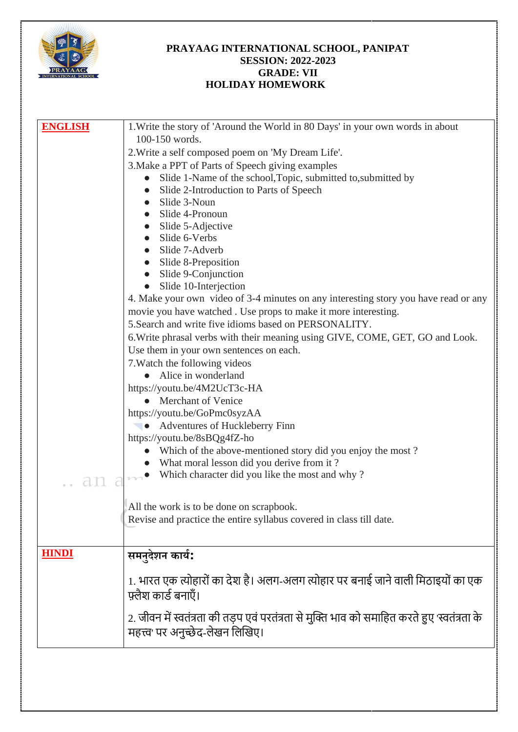

## **PRAYAAG INTERNATIONAL SCHOOL, PANIPAT SESSION: 2022-2023 GRADE: VII HOLIDAY HOMEWORK**

| <b>ENGLISH</b> | 1. Write the story of 'Around the World in 80 Days' in your own words in about               |
|----------------|----------------------------------------------------------------------------------------------|
|                | 100-150 words.                                                                               |
|                | 2. Write a self composed poem on 'My Dream Life'.                                            |
|                |                                                                                              |
|                | 3. Make a PPT of Parts of Speech giving examples                                             |
|                | Slide 1-Name of the school, Topic, submitted to, submitted by<br>$\bullet$                   |
|                | Slide 2-Introduction to Parts of Speech                                                      |
|                | Slide 3-Noun                                                                                 |
|                | Slide 4-Pronoun<br>$\bullet$                                                                 |
|                | Slide 5-Adjective                                                                            |
|                | Slide 6-Verbs                                                                                |
|                | Slide 7-Adverb                                                                               |
|                | Slide 8-Preposition                                                                          |
|                | Slide 9-Conjunction                                                                          |
|                | Slide 10-Interjection                                                                        |
|                | 4. Make your own video of 3-4 minutes on any interesting story you have read or any          |
|                | movie you have watched. Use props to make it more interesting.                               |
|                | 5. Search and write five idioms based on PERSONALITY.                                        |
|                | 6. Write phrasal verbs with their meaning using GIVE, COME, GET, GO and Look.                |
|                | Use them in your own sentences on each.                                                      |
|                | 7. Watch the following videos                                                                |
|                | • Alice in wonderland                                                                        |
|                | https://youtu.be/4M2UcT3c-HA                                                                 |
|                | <b>Merchant of Venice</b>                                                                    |
|                | https://youtu.be/GoPmc0syzAA                                                                 |
|                | • Adventures of Huckleberry Finn                                                             |
|                | https://youtu.be/8sBQg4fZ-ho                                                                 |
|                | Which of the above-mentioned story did you enjoy the most?                                   |
|                | • What moral lesson did you derive from it?                                                  |
|                | • Which character did you like the most and why?                                             |
| an             |                                                                                              |
|                |                                                                                              |
|                | All the work is to be done on scrapbook.                                                     |
|                | Revise and practice the entire syllabus covered in class till date.                          |
|                |                                                                                              |
|                |                                                                                              |
| <b>HINDI</b>   | समनुदेशन कार्य:                                                                              |
|                |                                                                                              |
|                | 1. भारत एक त्योहारों का देश है। अलग-अलग त्योहार पर बनाई जाने वाली मिठाइयों का एक             |
|                | फ़्लैश कार्ड बनाएँ।                                                                          |
|                |                                                                                              |
|                | 2. जीवन में स्वतंत्रता की तड़प एवं परतंत्रता से मुक्ति भाव को समाहित करते हुए 'स्वतंत्रता के |
|                | महत्त्व पर अनुच्छेद-लेखन लिखिए।                                                              |
|                |                                                                                              |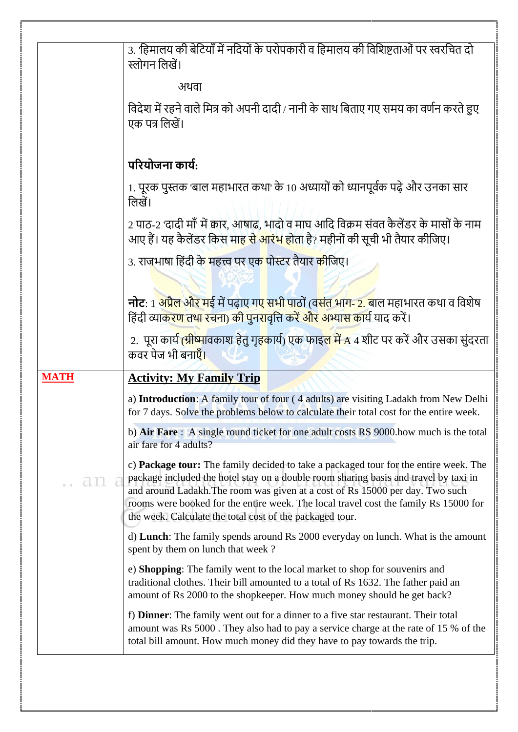| 3. 'हिमालय की बेटियाँ में नदियों के परोपकारी व हिमालय की विशिष्टताओं पर स्वरचित दो<br>स्लोगन लिखें।                                                                                                                                                                                                                                                                                                               |
|-------------------------------------------------------------------------------------------------------------------------------------------------------------------------------------------------------------------------------------------------------------------------------------------------------------------------------------------------------------------------------------------------------------------|
| अथवा                                                                                                                                                                                                                                                                                                                                                                                                              |
| विदेश में रहने वाले मित्र को अपनी दादी / नानी के साथ बिताए गए समय का वर्णन करते हुए<br>एक पत्र लिखें।                                                                                                                                                                                                                                                                                                             |
| परियोजना कार्य:                                                                                                                                                                                                                                                                                                                                                                                                   |
| 1. पूरक पुस्तक 'बाल महाभारत कथा' के 10 अध्यायों को ध्यानपूर्वक पढ़े और उनका सार<br>लिखें।                                                                                                                                                                                                                                                                                                                         |
| 2 पाठ-2 'दादी माँ' में कार, आषाढ़, भादो व माघ आदि विक्रम संवत कैलेंडर के मासों के नाम<br>आए हैं। यह कैलेंडर किस मा <mark>ह से आरंभ हो</mark> ता है? महीनों की सूची भी तैयार कीजिए।                                                                                                                                                                                                                                |
| 3. राजभाषा हिंदी के महत्त्व पर एक पोस्टर तैयार कीजिए।                                                                                                                                                                                                                                                                                                                                                             |
| <b>नोट</b> : 1 <mark>अप्रैल और म</mark> ई में पढ़ाए गए सभी पाठों (वसंत भाग- 2. बाल महाभारत कथा व विशेष<br>हिंदी व्याकरण तथा रचना) की पुनरावृत्ति करें और अभ्यास कार्य याद करें।                                                                                                                                                                                                                                   |
| 2.  पूरा कार्य <mark>(ग्रीष्मा</mark> वकाश हेतु गृहकार्य) एक फाइल में A 4 शीट पर करें और उसका सुंदरता<br>कवर पेज भी बनाएँ।                                                                                                                                                                                                                                                                                        |
| <b>Activity: My Family Trip</b>                                                                                                                                                                                                                                                                                                                                                                                   |
| a) Introduction: A family tour of four (4 adults) are visiting Ladakh from New Delhi<br>for 7 days. Solve the problems below to calculate their total cost for the entire week.                                                                                                                                                                                                                                   |
| b) Air Fare: A single round ticket for one adult costs RS 9000 how much is the total<br>air fare for 4 adults?                                                                                                                                                                                                                                                                                                    |
| c) Package tour: The family decided to take a packaged tour for the entire week. The<br>package included the hotel stay on a double room sharing basis and travel by taxi in<br>and around Ladakh. The room was given at a cost of Rs 15000 per day. Two such<br>rooms were booked for the entire week. The local travel cost the family Rs 15000 for<br>the week. Calculate the total cost of the packaged tour. |
| d) Lunch: The family spends around Rs 2000 everyday on lunch. What is the amount<br>spent by them on lunch that week?                                                                                                                                                                                                                                                                                             |
| e) Shopping: The family went to the local market to shop for souvenirs and<br>traditional clothes. Their bill amounted to a total of Rs 1632. The father paid an<br>amount of Rs 2000 to the shopkeeper. How much money should he get back?                                                                                                                                                                       |
|                                                                                                                                                                                                                                                                                                                                                                                                                   |
|                                                                                                                                                                                                                                                                                                                                                                                                                   |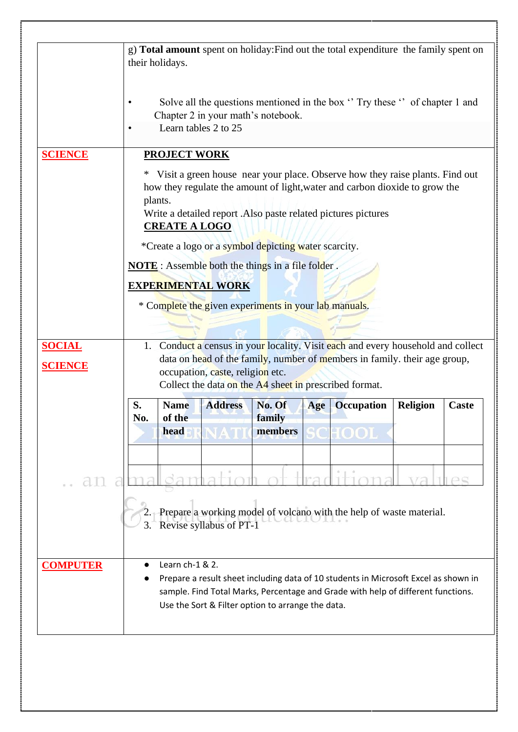|                                 | g) Total amount spent on holiday: Find out the total expenditure the family spent on                                                                                                                                                                                                                                                                                                 |                                                       |                  |     |                                                                                     |                 |                    |  |  |  |
|---------------------------------|--------------------------------------------------------------------------------------------------------------------------------------------------------------------------------------------------------------------------------------------------------------------------------------------------------------------------------------------------------------------------------------|-------------------------------------------------------|------------------|-----|-------------------------------------------------------------------------------------|-----------------|--------------------|--|--|--|
|                                 | their holidays.                                                                                                                                                                                                                                                                                                                                                                      |                                                       |                  |     |                                                                                     |                 |                    |  |  |  |
|                                 | Solve all the questions mentioned in the box "Try these" of chapter 1 and<br>$\bullet$<br>Chapter 2 in your math's notebook.<br>Learn tables 2 to 25<br>$\bullet$                                                                                                                                                                                                                    |                                                       |                  |     |                                                                                     |                 |                    |  |  |  |
| <b>SCIENCE</b>                  | <b>PROJECT WORK</b>                                                                                                                                                                                                                                                                                                                                                                  |                                                       |                  |     |                                                                                     |                 |                    |  |  |  |
|                                 | Visit a green house near your place. Observe how they raise plants. Find out<br>how they regulate the amount of light, water and carbon dioxide to grow the<br>plants.<br>Write a detailed report . Also paste related pictures pictures<br><b>CREATE A LOGO</b><br>*Create a logo or a symbol depicting water scarcity.<br><b>NOTE</b> : Assemble both the things in a file folder. |                                                       |                  |     |                                                                                     |                 |                    |  |  |  |
|                                 | <b>EXPERIMENTAL WORK</b>                                                                                                                                                                                                                                                                                                                                                             |                                                       |                  |     |                                                                                     |                 |                    |  |  |  |
|                                 |                                                                                                                                                                                                                                                                                                                                                                                      | * Complete the given experiments in your lab manuals. |                  |     |                                                                                     |                 |                    |  |  |  |
|                                 |                                                                                                                                                                                                                                                                                                                                                                                      |                                                       |                  |     |                                                                                     |                 |                    |  |  |  |
| <b>SOCIAL</b><br><b>SCIENCE</b> | 1. Conduct a census in your locality. Visit each and every household and collect<br>data on head of the family, number of members in family. their age group,<br>occupation, caste, religion etc.<br>Collect the data on the A4 sheet in prescribed format.                                                                                                                          |                                                       |                  |     |                                                                                     |                 |                    |  |  |  |
|                                 | S.<br><b>Name</b><br>of the<br>No.                                                                                                                                                                                                                                                                                                                                                   | <b>Address</b>                                        | No. Of<br>family | Age | <b>Occupation</b>                                                                   | <b>Religion</b> | Caste              |  |  |  |
|                                 | head                                                                                                                                                                                                                                                                                                                                                                                 |                                                       | members          |     | $\bf{HODL}$                                                                         |                 |                    |  |  |  |
|                                 |                                                                                                                                                                                                                                                                                                                                                                                      |                                                       |                  |     |                                                                                     |                 |                    |  |  |  |
| an                              |                                                                                                                                                                                                                                                                                                                                                                                      |                                                       |                  |     |                                                                                     |                 | $1 \cap \subseteq$ |  |  |  |
|                                 | 3.                                                                                                                                                                                                                                                                                                                                                                                   | Revise syllabus of PT-1                               |                  |     | 2. Prepare a working model of volcano with the help of waste material.              |                 |                    |  |  |  |
| <b>COMPUTER</b>                 | Learn ch-1 & 2.                                                                                                                                                                                                                                                                                                                                                                      |                                                       |                  |     |                                                                                     |                 |                    |  |  |  |
|                                 |                                                                                                                                                                                                                                                                                                                                                                                      |                                                       |                  |     | Prepare a result sheet including data of 10 students in Microsoft Excel as shown in |                 |                    |  |  |  |
|                                 |                                                                                                                                                                                                                                                                                                                                                                                      | Use the Sort & Filter option to arrange the data.     |                  |     | sample. Find Total Marks, Percentage and Grade with help of different functions.    |                 |                    |  |  |  |
|                                 |                                                                                                                                                                                                                                                                                                                                                                                      |                                                       |                  |     |                                                                                     |                 |                    |  |  |  |